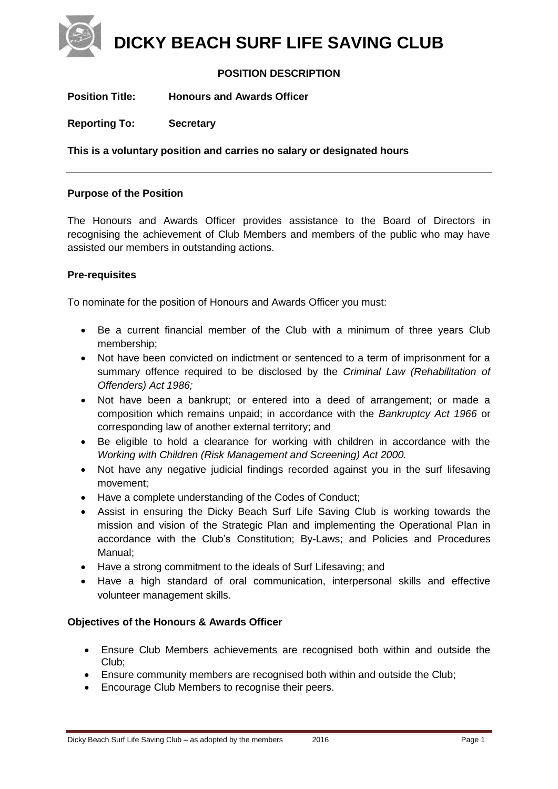**DICKY BEACH SURF LIFE SAVING CLUB**

# **POSITION DESCRIPTION**

**Position Title: Honours and Awards Officer**

**Reporting To: Secretary**

**This is a voluntary position and carries no salary or designated hours**

# **Purpose of the Position**

The Honours and Awards Officer provides assistance to the Board of Directors in recognising the achievement of Club Members and members of the public who may have assisted our members in outstanding actions.

# **Pre-requisites**

To nominate for the position of Honours and Awards Officer you must:

- Be a current financial member of the Club with a minimum of three years Club membership;
- Not have been convicted on indictment or sentenced to a term of imprisonment for a summary offence required to be disclosed by the *Criminal Law (Rehabilitation of Offenders) Act 1986;*
- Not have been a bankrupt; or entered into a deed of arrangement; or made a composition which remains unpaid; in accordance with the *Bankruptcy Act 1966* or corresponding law of another external territory; and
- Be eligible to hold a clearance for working with children in accordance with the *Working with Children (Risk Management and Screening) Act 2000.*
- Not have any negative judicial findings recorded against you in the surf lifesaving movement;
- Have a complete understanding of the Codes of Conduct;
- Assist in ensuring the Dicky Beach Surf Life Saving Club is working towards the mission and vision of the Strategic Plan and implementing the Operational Plan in accordance with the Club's Constitution; By-Laws; and Policies and Procedures Manual;
- Have a strong commitment to the ideals of Surf Lifesaving; and
- Have a high standard of oral communication, interpersonal skills and effective volunteer management skills.

# **Objectives of the Honours & Awards Officer**

- Ensure Club Members achievements are recognised both within and outside the Club;
- Ensure community members are recognised both within and outside the Club;
- **Encourage Club Members to recognise their peers.**